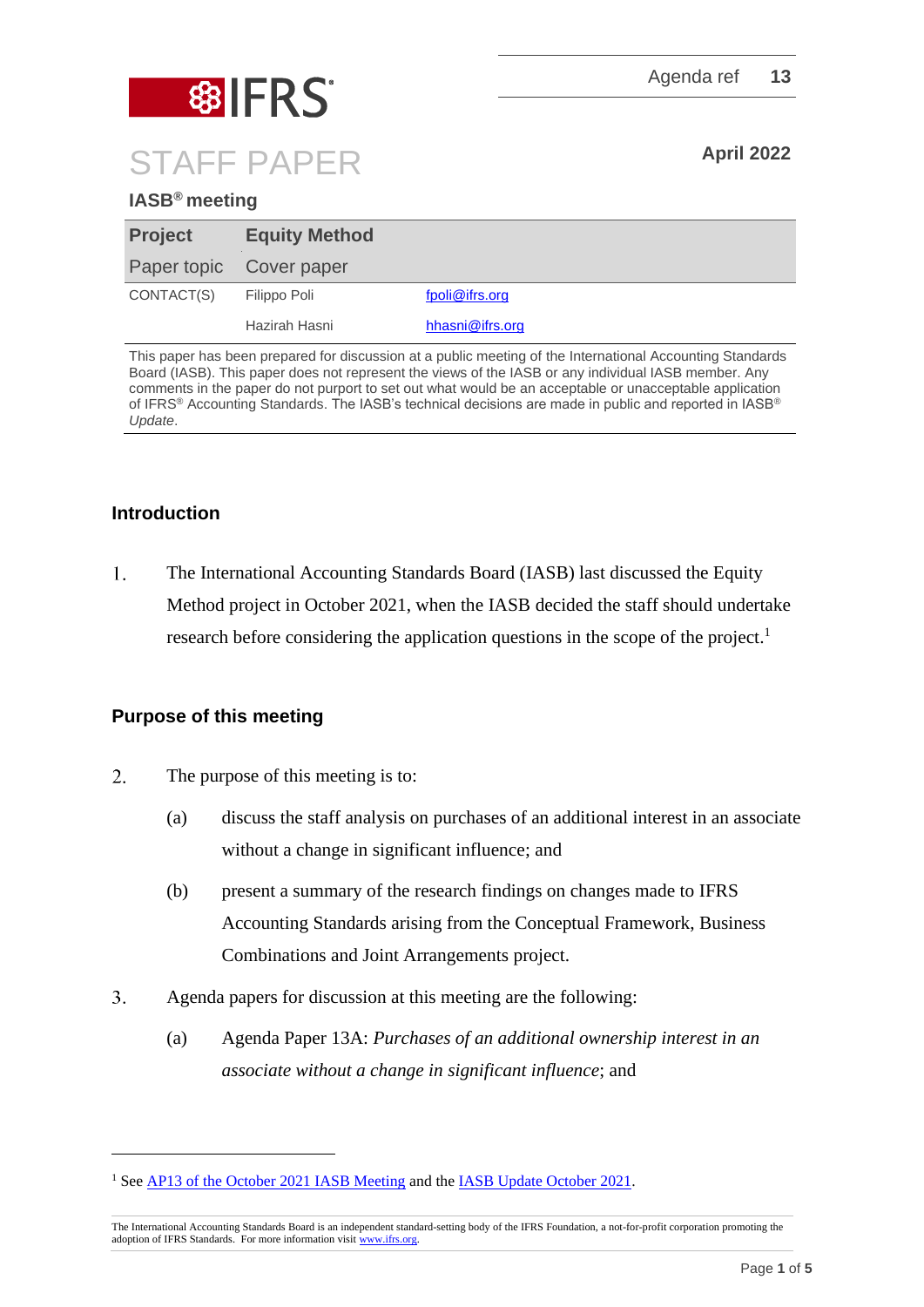

## **IASB® meeting**

| <b>Project</b> | <b>Equity Method</b>    |                 |
|----------------|-------------------------|-----------------|
|                | Paper topic Cover paper |                 |
| CONTACT(S)     | Filippo Poli            | fpoli@ifrs.org  |
|                | Hazirah Hasni           | hhasni@ifrs.org |

This paper has been prepared for discussion at a public meeting of the International Accounting Standards Board (IASB). This paper does not represent the views of the IASB or any individual IASB member. Any comments in the paper do not purport to set out what would be an acceptable or unacceptable application of IFRS® Accounting Standards. The IASB's technical decisions are made in public and reported in IASB® *Update*.

#### **Introduction**

 $1.$ The International Accounting Standards Board (IASB) last discussed the Equity Method project in October 2021, when the IASB decided the staff should undertake research before considering the application questions in the scope of the project.<sup>1</sup>

#### **Purpose of this meeting**

- $\overline{2}$ . The purpose of this meeting is to:
	- (a) discuss the staff analysis on purchases of an additional interest in an associate without a change in significant influence; and
	- (b) present a summary of the research findings on changes made to IFRS Accounting Standards arising from the Conceptual Framework, Business Combinations and Joint Arrangements project.
- $\overline{3}$ . Agenda papers for discussion at this meeting are the following:
	- (a) Agenda Paper 13A: *Purchases of an additional ownership interest in an associate without a change in significant influence*; and

<sup>&</sup>lt;sup>1</sup> Se[e AP13 of the October 2021 IASB Meeting](https://www.ifrs.org/content/dam/ifrs/meetings/2021/october/iasb/ap13-equity-method.pdf) and th[e IASB Update October 2021.](https://www.ifrs.org/news-and-events/updates/iasb/2021/iasb-update-october-2021/#4)

The International Accounting Standards Board is an independent standard-setting body of the IFRS Foundation, a not-for-profit corporation promoting the adoption of IFRS Standards. For more information visi[t www.ifrs.org.](http://www.ifrs.org/)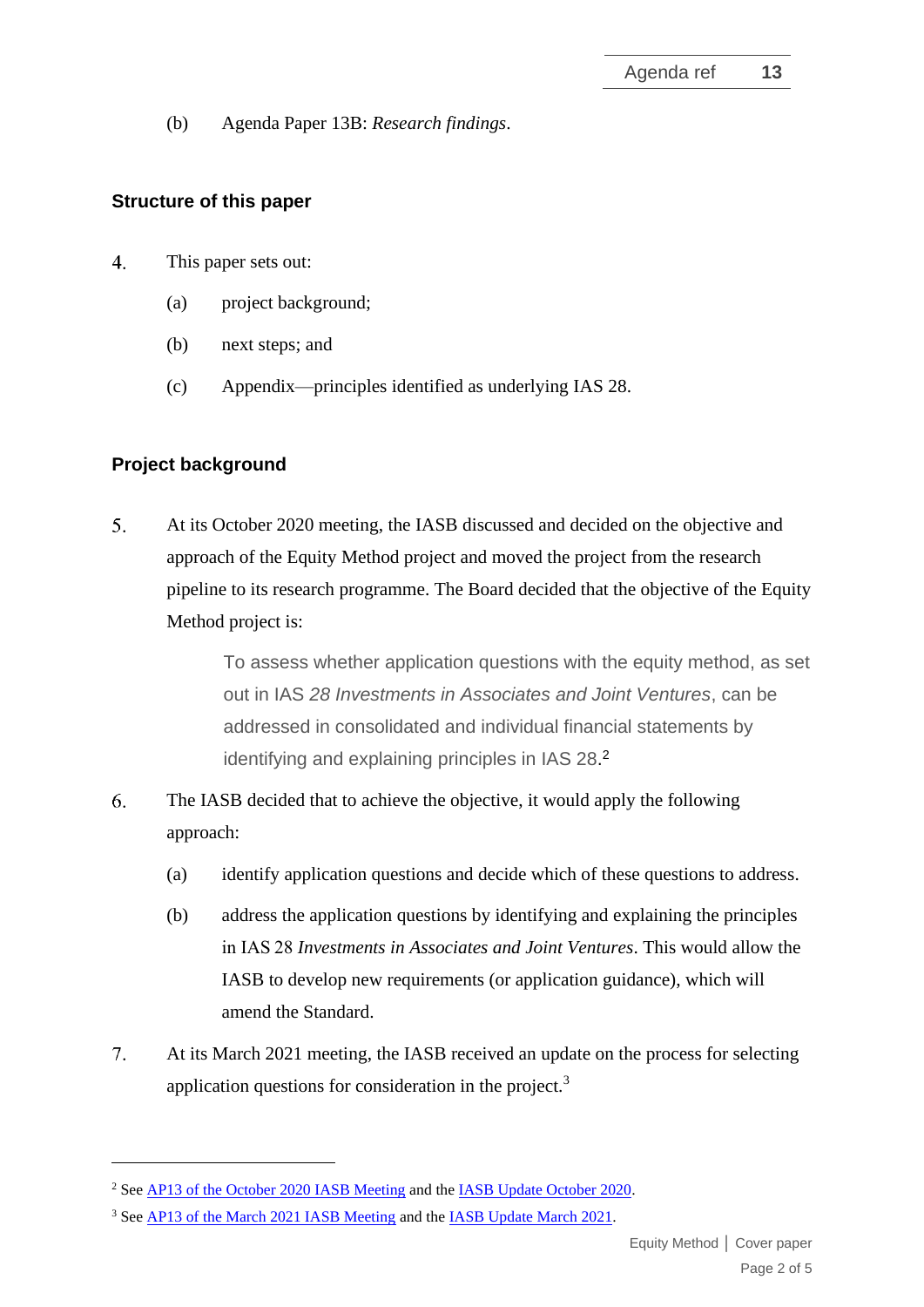(b) Agenda Paper 13B: *Research findings*.

#### **Structure of this paper**

- $\overline{4}$ . This paper sets out:
	- (a) project background;
	- (b) next steps; and
	- (c) Appendix—principles identified as underlying IAS 28.

## **Project background**

 $5<sub>1</sub>$ At its October 2020 meeting, the IASB discussed and decided on the objective and approach of the Equity Method project and moved the project from the research pipeline to its research programme. The Board decided that the objective of the Equity Method project is:

> To assess whether application questions with the equity method, as set out in IAS *28 Investments in Associates and Joint Ventures*, can be addressed in consolidated and individual financial statements by identifying and explaining principles in IAS 28.<sup>2</sup>

- 6. The IASB decided that to achieve the objective, it would apply the following approach:
	- (a) identify application questions and decide which of these questions to address.
	- (b) address the application questions by identifying and explaining the principles in IAS 28 *Investments in Associates and Joint Ventures*. This would allow the IASB to develop new requirements (or application guidance), which will amend the Standard.
- $7.$ At its March 2021 meeting, the IASB received an update on the process for selecting application questions for consideration in the project.<sup>3</sup>

<sup>&</sup>lt;sup>2</sup> See AP13 [of the October 2020](https://www.ifrs.org/content/dam/ifrs/meetings/2020/october/iasb/ap13-equity-method-of-accounting.pdf) IASB Meeting and th[e IASB Update October 2020.](https://www.ifrs.org/news-and-events/updates/iasb/2020/iasb-update-october-2020/#2)

<sup>&</sup>lt;sup>3</sup> Se[e AP13 of the March 2021 IASB Meeting](https://www.ifrs.org/content/dam/ifrs/meetings/2021/march/iasb/ap13-equity-method.pdf) and the **IASB Update March 2021**.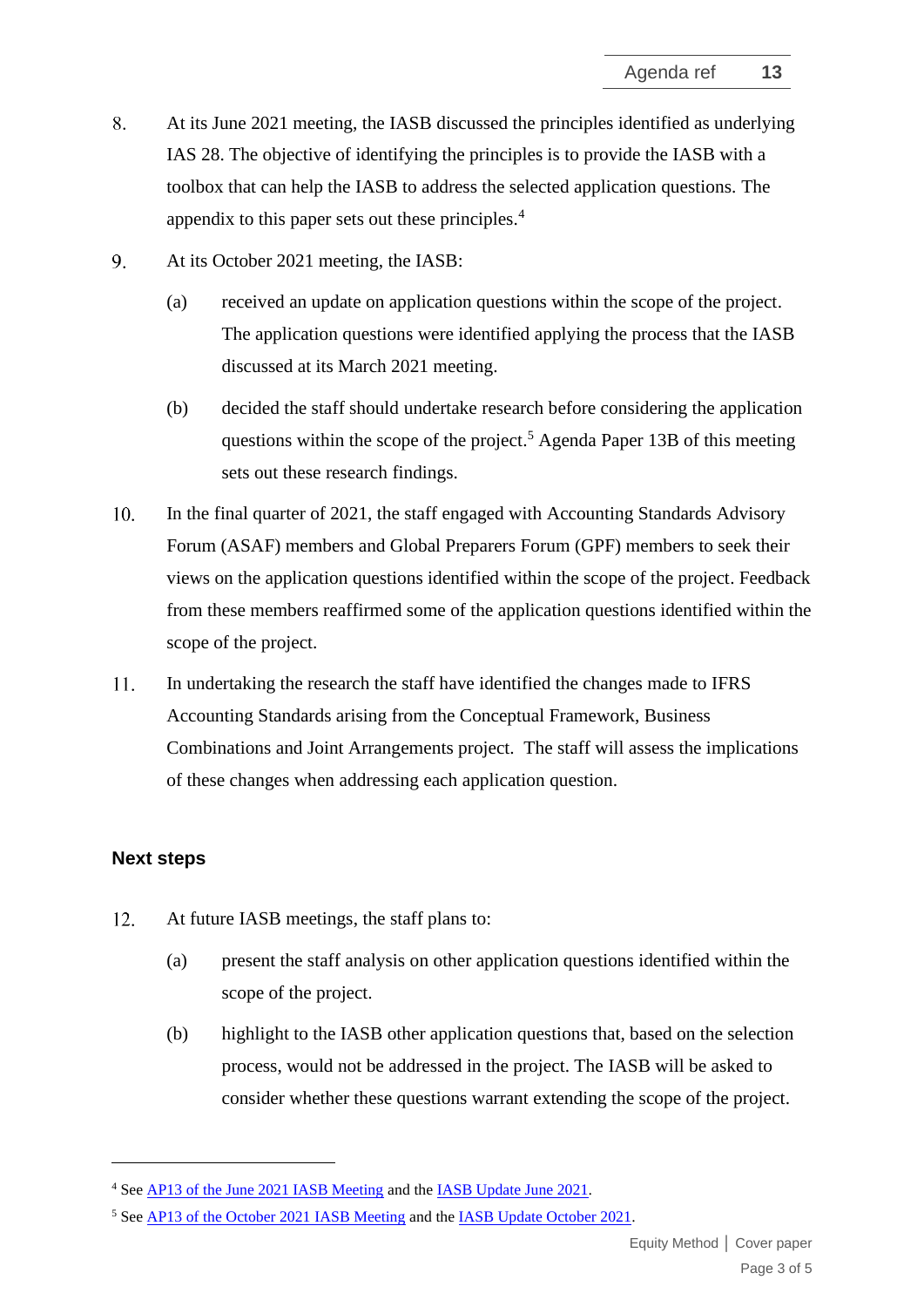- 8. At its June 2021 meeting, the IASB discussed the principles identified as underlying IAS 28. The objective of identifying the principles is to provide the IASB with a toolbox that can help the IASB to address the selected application questions. The appendix to this paper sets out these principles.<sup>4</sup>
- 9. At its October 2021 meeting, the IASB:
	- (a) received an update on application questions within the scope of the project. The application questions were identified applying the process that the IASB discussed at its March 2021 meeting.
	- (b) decided the staff should undertake research before considering the application questions within the scope of the project.<sup>5</sup> Agenda Paper 13B of this meeting sets out these research findings.
- 10. In the final quarter of 2021, the staff engaged with Accounting Standards Advisory Forum (ASAF) members and Global Preparers Forum (GPF) members to seek their views on the application questions identified within the scope of the project. Feedback from these members reaffirmed some of the application questions identified within the scope of the project.
- 11. In undertaking the research the staff have identified the changes made to IFRS Accounting Standards arising from the Conceptual Framework, Business Combinations and Joint Arrangements project. The staff will assess the implications of these changes when addressing each application question.

#### **Next steps**

- $12.$ At future IASB meetings, the staff plans to:
	- (a) present the staff analysis on other application questions identified within the scope of the project.
	- (b) highlight to the IASB other application questions that, based on the selection process, would not be addressed in the project. The IASB will be asked to consider whether these questions warrant extending the scope of the project.

<sup>4</sup> Se[e AP13 of the June 2021 IASB Meeting](https://www.ifrs.org/content/dam/ifrs/meetings/2021/june/iasb/ap13-identifying-the-principles-in-ias-28-investments-in-associates-and-joint-ventures.pdf) and th[e IASB Update June 2021.](https://www.ifrs.org/news-and-events/updates/iasb/2021/iasb-update-june-2021/#2)

<sup>5</sup> Se[e AP13 of the October 2021](https://www.ifrs.org/content/dam/ifrs/meetings/2021/october/iasb/ap13-equity-method.pdf) IASB Meeting and th[e IASB Update October 2021.](https://www.ifrs.org/news-and-events/updates/iasb/2021/iasb-update-october-2021/#4)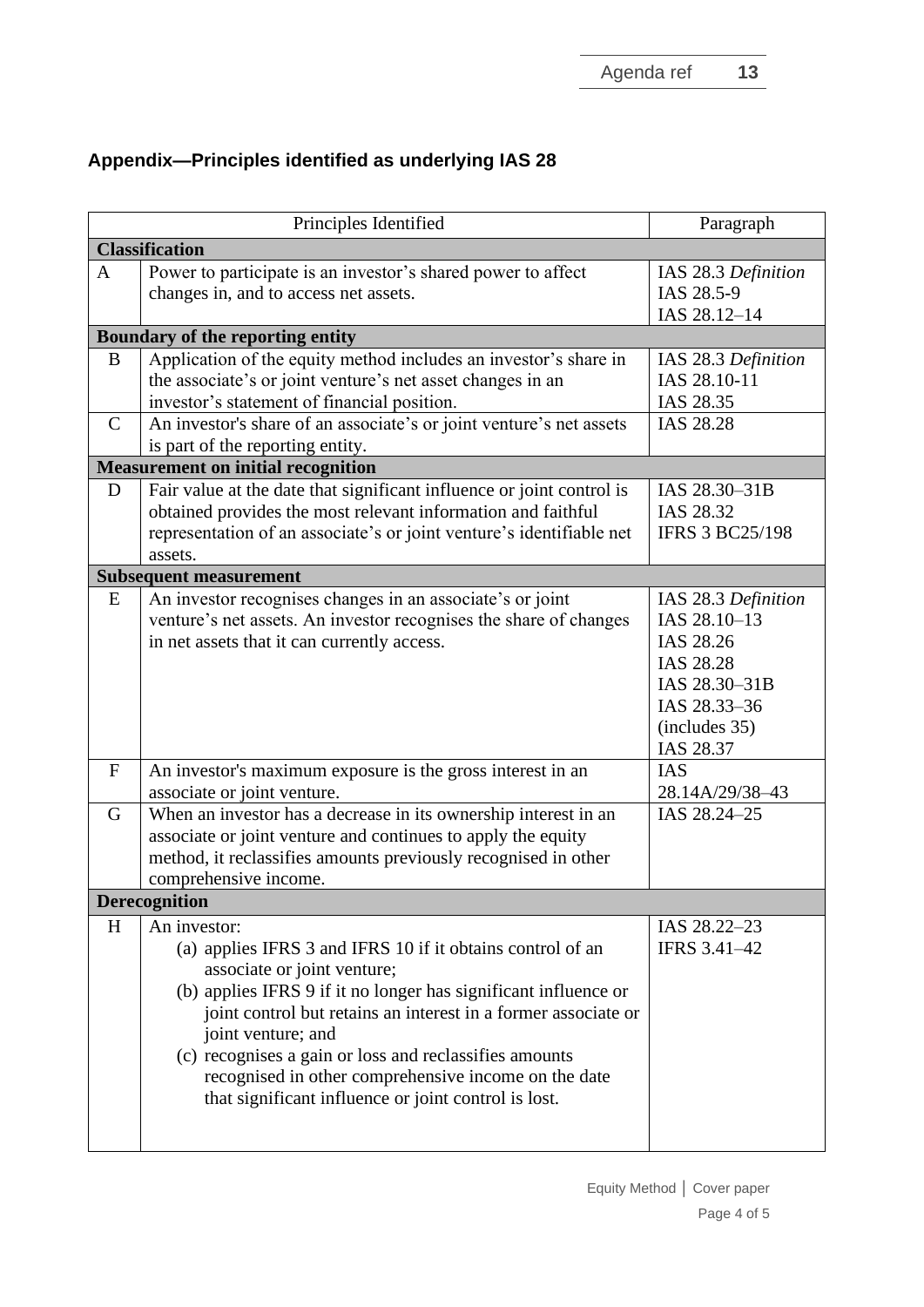# **Appendix—Principles identified as underlying IAS 28**

| Principles Identified         |                                                                                                                                                                                                                                                                                                                                                                                                                                                | Paragraph                                                                                                                    |  |  |  |
|-------------------------------|------------------------------------------------------------------------------------------------------------------------------------------------------------------------------------------------------------------------------------------------------------------------------------------------------------------------------------------------------------------------------------------------------------------------------------------------|------------------------------------------------------------------------------------------------------------------------------|--|--|--|
| <b>Classification</b>         |                                                                                                                                                                                                                                                                                                                                                                                                                                                |                                                                                                                              |  |  |  |
| $\mathbf{A}$                  | Power to participate is an investor's shared power to affect<br>changes in, and to access net assets.                                                                                                                                                                                                                                                                                                                                          | IAS 28.3 Definition<br>IAS 28.5-9<br>IAS 28.12-14                                                                            |  |  |  |
|                               | Boundary of the reporting entity                                                                                                                                                                                                                                                                                                                                                                                                               |                                                                                                                              |  |  |  |
| B<br>$\mathcal{C}$            | Application of the equity method includes an investor's share in<br>the associate's or joint venture's net asset changes in an<br>investor's statement of financial position.<br>An investor's share of an associate's or joint venture's net assets                                                                                                                                                                                           | IAS 28.3 Definition<br>IAS 28.10-11<br>IAS 28.35<br>IAS 28.28                                                                |  |  |  |
|                               | is part of the reporting entity.                                                                                                                                                                                                                                                                                                                                                                                                               |                                                                                                                              |  |  |  |
|                               | <b>Measurement on initial recognition</b>                                                                                                                                                                                                                                                                                                                                                                                                      |                                                                                                                              |  |  |  |
| D                             | Fair value at the date that significant influence or joint control is<br>obtained provides the most relevant information and faithful<br>representation of an associate's or joint venture's identifiable net<br>assets.                                                                                                                                                                                                                       | IAS 28.30-31B<br>IAS 28.32<br><b>IFRS 3 BC25/198</b>                                                                         |  |  |  |
| <b>Subsequent measurement</b> |                                                                                                                                                                                                                                                                                                                                                                                                                                                |                                                                                                                              |  |  |  |
| E                             | An investor recognises changes in an associate's or joint<br>venture's net assets. An investor recognises the share of changes<br>in net assets that it can currently access.                                                                                                                                                                                                                                                                  | IAS 28.3 Definition<br>IAS 28.10-13<br>IAS 28.26<br>IAS 28.28<br>IAS 28.30-31B<br>IAS 28.33-36<br>(includes 35)<br>IAS 28.37 |  |  |  |
| $\mathbf{F}$                  | An investor's maximum exposure is the gross interest in an<br>associate or joint venture.                                                                                                                                                                                                                                                                                                                                                      | <b>IAS</b><br>28.14A/29/38-43                                                                                                |  |  |  |
| G                             | When an investor has a decrease in its ownership interest in an<br>associate or joint venture and continues to apply the equity<br>method, it reclassifies amounts previously recognised in other<br>comprehensive income.                                                                                                                                                                                                                     | IAS 28.24-25                                                                                                                 |  |  |  |
| <b>Derecognition</b>          |                                                                                                                                                                                                                                                                                                                                                                                                                                                |                                                                                                                              |  |  |  |
| H                             | An investor:<br>(a) applies IFRS 3 and IFRS 10 if it obtains control of an<br>associate or joint venture;<br>(b) applies IFRS 9 if it no longer has significant influence or<br>joint control but retains an interest in a former associate or<br>joint venture; and<br>(c) recognises a gain or loss and reclassifies amounts<br>recognised in other comprehensive income on the date<br>that significant influence or joint control is lost. | IAS 28.22-23<br><b>IFRS 3.41-42</b>                                                                                          |  |  |  |